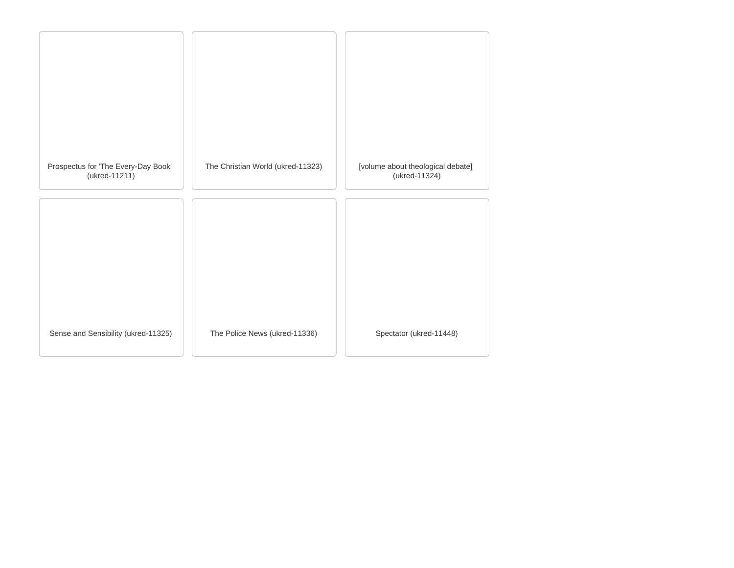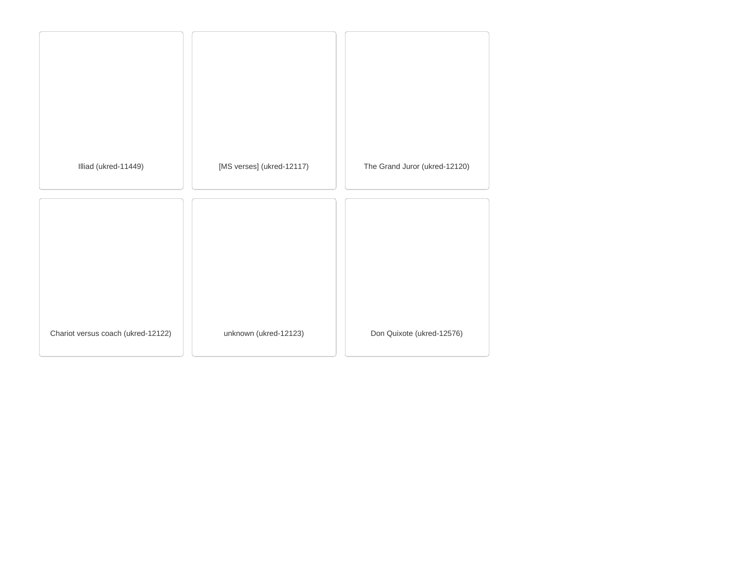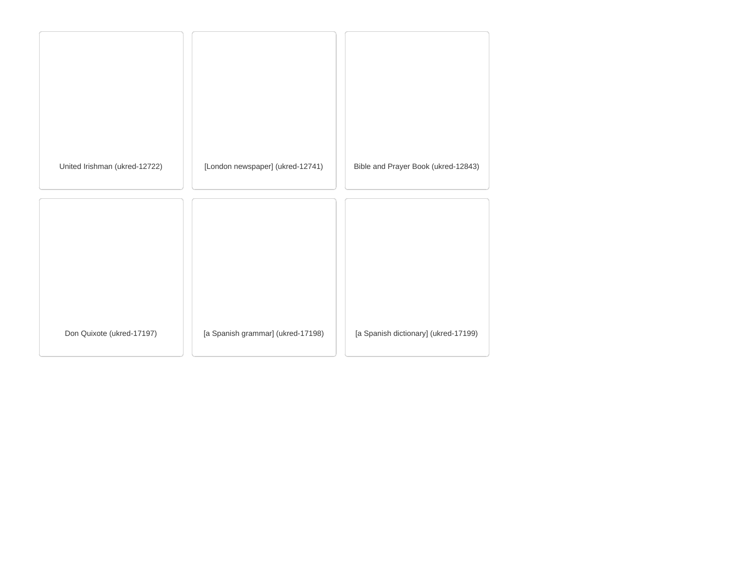| United Irishman (ukred-12722) | [London newspaper] (ukred-12741)  | Bible and Prayer Book (ukred-12843)  |
|-------------------------------|-----------------------------------|--------------------------------------|
|                               |                                   |                                      |
|                               |                                   |                                      |
|                               |                                   |                                      |
| Don Quixote (ukred-17197)     | [a Spanish grammar] (ukred-17198) | [a Spanish dictionary] (ukred-17199) |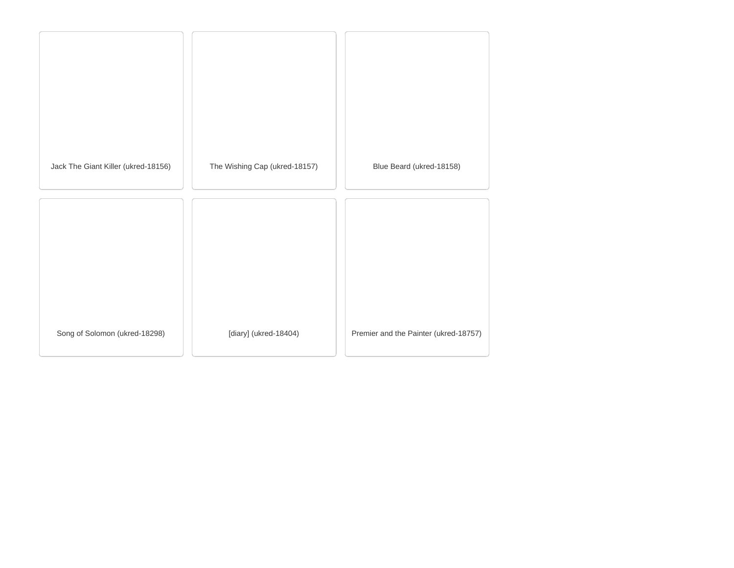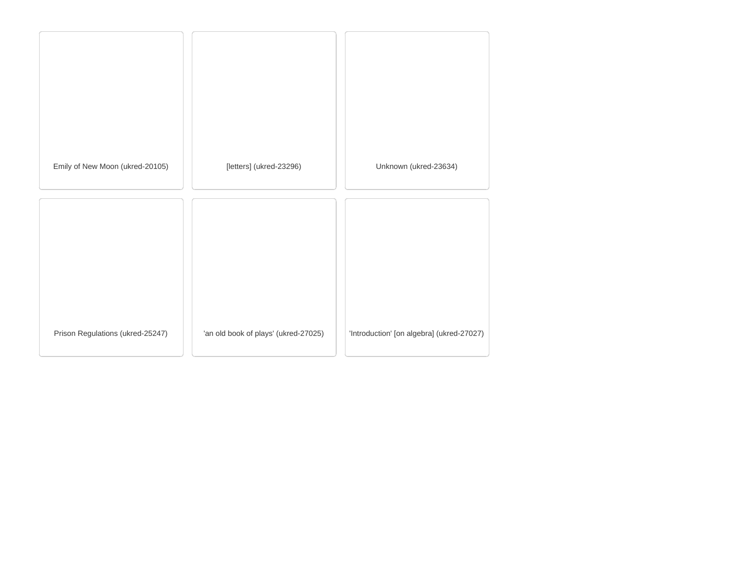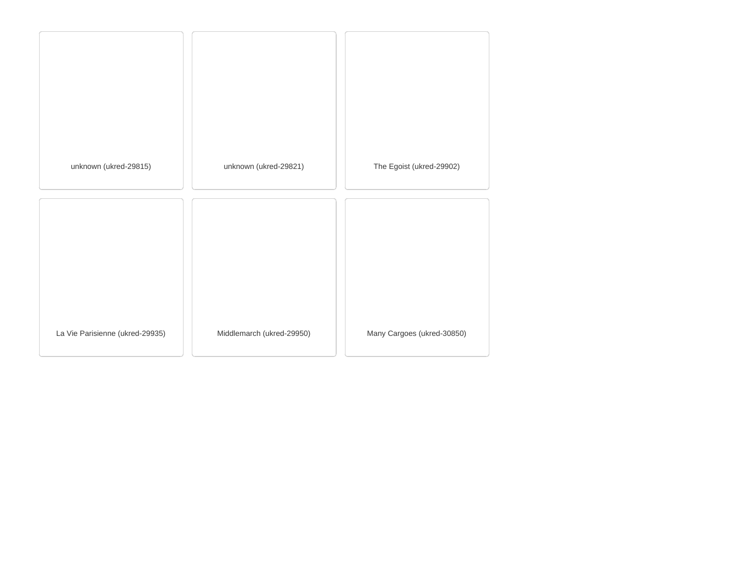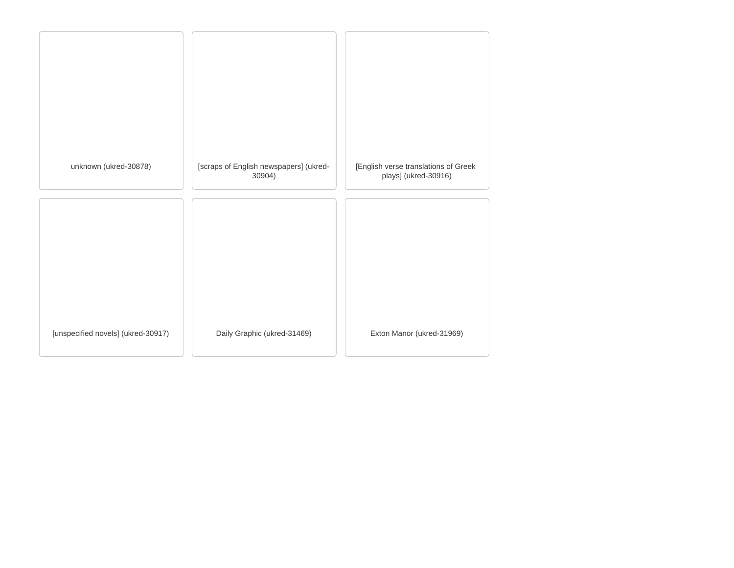| unknown (ukred-30878)              | [scraps of English newspapers] (ukred-<br>30904) | [English verse translations of Greek<br>plays] (ukred-30916) |
|------------------------------------|--------------------------------------------------|--------------------------------------------------------------|
|                                    |                                                  |                                                              |
|                                    |                                                  |                                                              |
| [unspecified novels] (ukred-30917) | Daily Graphic (ukred-31469)                      | Exton Manor (ukred-31969)                                    |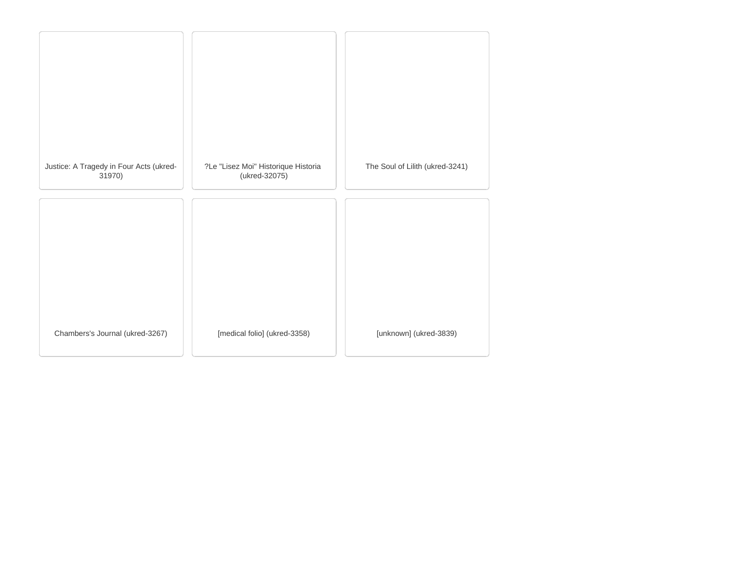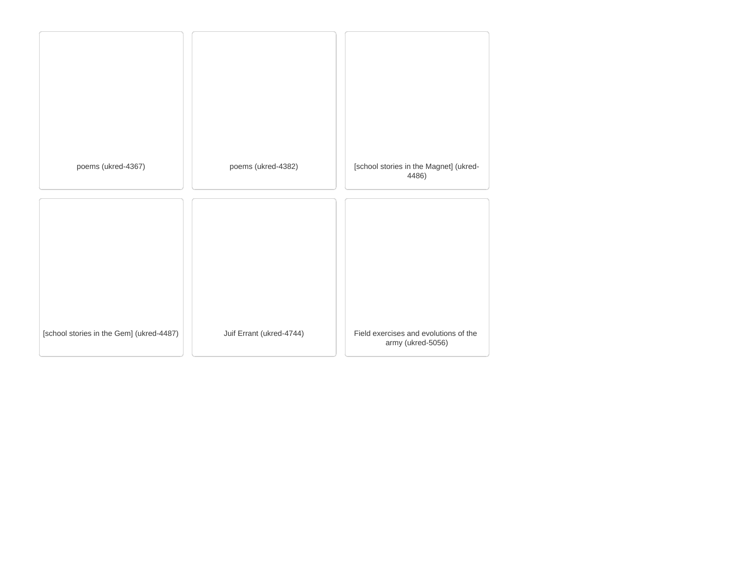